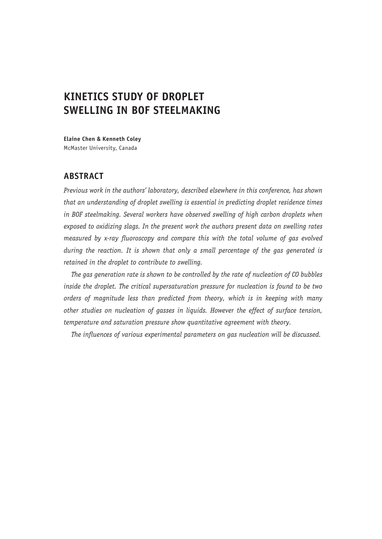# **KINETICS STUDY OF DROPLET SWELLING IN BOF STEELMAKING**

**Elaine Chen & Kenneth Coley** McMaster University, Canada

# **ABSTRACT**

*Previous work in the authors' laboratory, described elsewhere in this conference, has shown that an understanding of droplet swelling is essential in predicting droplet residence times in BOF steelmaking. Several workers have observed swelling of high carbon droplets when exposed to oxidizing slags. In the present work the authors present data on swelling rates measured by x-ray fluoroscopy and compare this with the total volume of gas evolved during the reaction. It is shown that only a small percentage of the gas generated is retained in the droplet to contribute to swelling.*

*The gas generation rate is shown to be controlled by the rate of nucleation of CO bubbles inside the droplet. The critical supersaturation pressure for nucleation is found to be two orders of magnitude less than predicted from theory, which is in keeping with many other studies on nucleation of gasses in liquids. However the effect of surface tension, temperature and saturation pressure show quantitative agreement with theory.*

*The influences of various experimental parameters on gas nucleation will be discussed.*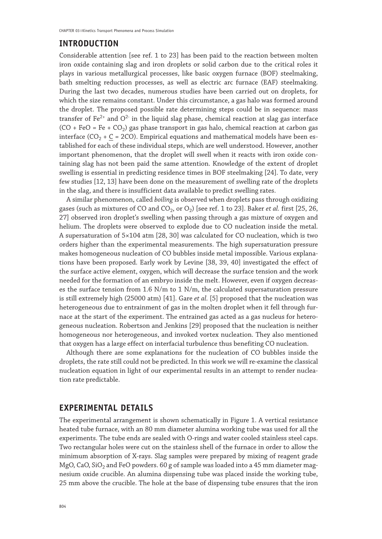## **INTRODUCTION**

Considerable attention [see ref. 1 to 23] has been paid to the reaction between molten iron oxide containing slag and iron droplets or solid carbon due to the critical roles it plays in various metallurgical processes, like basic oxygen furnace (BOF) steelmaking, bath smelting reduction processes, as well as electric arc furnace (EAF) steelmaking. During the last two decades, numerous studies have been carried out on droplets, for which the size remains constant. Under this circumstance, a gas halo was formed around the droplet. The proposed possible rate determining steps could be in sequence: mass transfer of Fe<sup>2+</sup> and  $O^{2-}$  in the liquid slag phase, chemical reaction at slag gas interface  $(CO + FeO = Fe + CO<sub>2</sub>)$  gas phase transport in gas halo, chemical reaction at carbon gas interface (CO<sub>2</sub> +  $C = 2CO$ ). Empirical equations and mathematical models have been established for each of these individual steps, which are well understood. However, another important phenomenon, that the droplet will swell when it reacts with iron oxide containing slag has not been paid the same attention. Knowledge of the extent of droplet swelling is essential in predicting residence times in BOF steelmaking [24]. To date, very few studies [12, 13] have been done on the measurement of swelling rate of the droplets in the slag, and there is insufficient data available to predict swelling rates.

A similar phenomenon, called *boiling* is observed when droplets pass through oxidizing gases (such as mixtures of CO and CO<sub>2</sub>, or O<sub>2</sub>) [see ref. 1 to 23]. Baker *et al.* first [25, 26, 27] observed iron droplet's swelling when passing through a gas mixture of oxygen and helium. The droplets were observed to explode due to CO nucleation inside the metal. A supersaturation of 5×104 atm [28, 30] was calculated for CO nucleation, which is two orders higher than the experimental measurements. The high supersaturation pressure makes homogeneous nucleation of CO bubbles inside metal impossible. Various explanations have been proposed. Early work by Levine [38, 39, 40] investigated the effect of the surface active element, oxygen, which will decrease the surface tension and the work needed for the formation of an embryo inside the melt. However, even if oxygen decreases the surface tension from 1.6 N/m to 1 N/m, the calculated supersaturation pressure is still extremely high (25000 atm) [41]. Gare *et al.* [5] proposed that the nucleation was heterogeneous due to entrainment of gas in the molten droplet when it fell through furnace at the start of the experiment. The entrained gas acted as a gas nucleus for heterogeneous nucleation. Robertson and Jenkins [29] proposed that the nucleation is neither homogeneous nor heterogeneous, and invoked vortex nucleation. They also mentioned that oxygen has a large effect on interfacial turbulence thus benefiting CO nucleation.

Although there are some explanations for the nucleation of CO bubbles inside the droplets, the rate still could not be predicted. In this work we will re-examine the classical nucleation equation in light of our experimental results in an attempt to render nucleation rate predictable.

## **EXPERIMENTAL DETAILS**

The experimental arrangement is shown schematically in Figure 1. A vertical resistance heated tube furnace, with an 80 mm diameter alumina working tube was used for all the experiments. The tube ends are sealed with O-rings and water cooled stainless steel caps. Two rectangular holes were cut on the stainless shell of the furnace in order to allow the minimum absorption of X-rays. Slag samples were prepared by mixing of reagent grade MgO, CaO, SiO<sub>2</sub> and FeO powders. 60 g of sample was loaded into a 45 mm diameter magnesium oxide crucible. An alumina dispensing tube was placed inside the working tube, 25 mm above the crucible. The hole at the base of dispensing tube ensures that the iron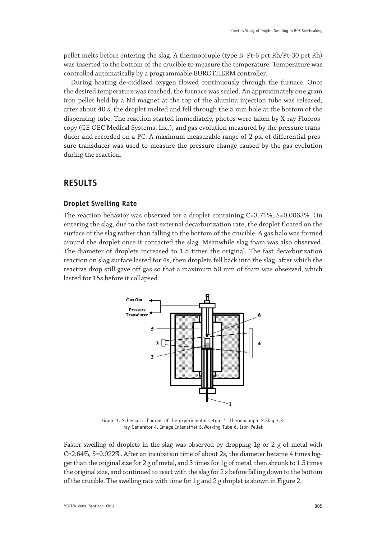pellet melts before entering the slag. A thermocouple (type B: Pt-6 pct Rh/Pt-30 pct Rh) was inserted to the bottom of the crucible to measure the temperature. Temperature was controlled automatically by a programmable EUROTHERM controller.

During heating de-oxidized oxygen flowed continuously through the furnace. Once the desired temperature was reached, the furnace was sealed. An approximately one gram iron pellet held by a Nd magnet at the top of the alumina injection tube was released, after about 40 s, the droplet melted and fell through the 5 mm hole at the bottom of the dispensing tube. The reaction started immediately, photos were taken by X-ray Fluoroscopy (GE OEC Medical Systems, Inc.), and gas evolution measured by the pressure transducer and recorded on a PC. A maximum measurable range of 2 psi of differential pressure transducer was used to measure the pressure change caused by the gas evolution during the reaction.

# **RESULTS**

#### **Droplet Swelling Rate**

The reaction behavior was observed for a droplet containing C=3.71%, S=0.0063%. On entering the slag, due to the fast external decarburization rate, the droplet floated on the surface of the slag rather than falling to the bottom of the crucible. A gas halo was formed around the droplet once it contacted the slag. Meanwhile slag foam was also observed. The diameter of droplets increased to 1.5 times the original. The fast decarburization reaction on slag surface lasted for 4s, then droplets fell back into the slag, after which the reactive drop still gave off gas so that a maximum 50 mm of foam was observed, which lasted for 15s before it collapsed.



Figure 1: Schematic diagram of the experimental setup- 1. Thermocouple 2.Slag 3.Xray Generator 4. Image Intensifier 5.Working Tube 6. Iron Pellet

Faster swelling of droplets in the slag was observed by dropping 1g or 2 g of metal with C=2.64%, S=0.022%. After an incubation time of about 2s, the diameter became 4 times bigger than the original size for 2 g of metal, and 3 times for 1g of metal, then shrunk to 1.5 times the original size, and continued to react with the slag for 2 s before falling down to the bottom of the crucible. The swelling rate with time for 1g and 2 g droplet is shown in Figure 2.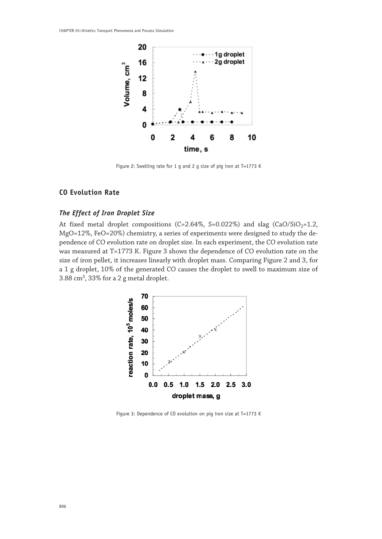

Figure 2: Swelling rate for 1 g and 2 g size of pig iron at T=1773 K

#### **CO Evolution Rate**

#### *The Effect of Iron Droplet Size*

At fixed metal droplet compositions (C=2.64%, S=0.022%) and slag (CaO/SiO<sub>2</sub>=1.2, MgO=12%, FeO=20%) chemistry, a series of experiments were designed to study the dependence of CO evolution rate on droplet size. In each experiment, the CO evolution rate was measured at T=1773 K. Figure 3 shows the dependence of CO evolution rate on the size of iron pellet, it increases linearly with droplet mass. Comparing Figure 2 and 3, for a 1 g droplet, 10% of the generated CO causes the droplet to swell to maximum size of 3.88 cm3, 33% for a 2 g metal droplet.



Figure 3: Dependence of CO evolution on pig iron size at T=1773 K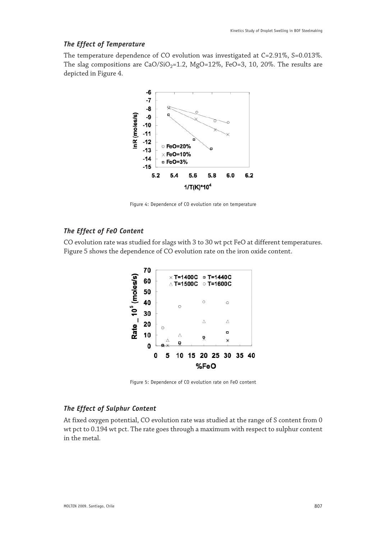## *The Effect of Temperature*

The temperature dependence of CO evolution was investigated at C=2.91%, S=0.013%. The slag compositions are  $CaO/SiO<sub>2</sub>=1.2$ , MgO=12%, FeO=3, 10, 20%. The results are depicted in Figure 4.



Figure 4: Dependence of CO evolution rate on temperature

#### *The Effect of FeO Content*

CO evolution rate was studied for slags with 3 to 30 wt pct FeO at different temperatures. Figure 5 shows the dependence of CO evolution rate on the iron oxide content.



Figure 5: Dependence of CO evolution rate on FeO content

## *The Effect of Sulphur Content*

At fixed oxygen potential, CO evolution rate was studied at the range of S content from 0 wt pct to 0.194 wt pct. The rate goes through a maximum with respect to sulphur content in the metal.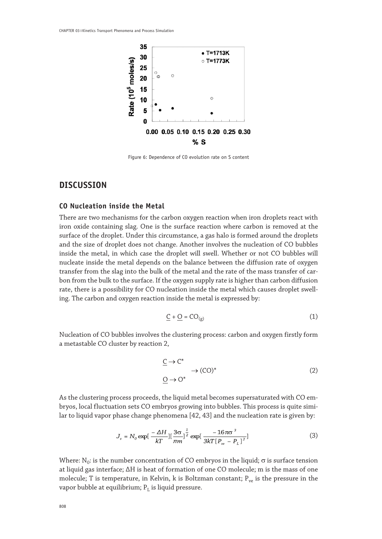

Figure 6: Dependence of CO evolution rate on S content

## **DISCUSSION**

#### **CO Nucleation inside the Metal**

There are two mechanisms for the carbon oxygen reaction when iron droplets react with iron oxide containing slag. One is the surface reaction where carbon is removed at the surface of the droplet. Under this circumstance, a gas halo is formed around the droplets and the size of droplet does not change. Another involves the nucleation of CO bubbles inside the metal, in which case the droplet will swell. Whether or not CO bubbles will nucleate inside the metal depends on the balance between the diffusion rate of oxygen transfer from the slag into the bulk of the metal and the rate of the mass transfer of carbon from the bulk to the surface. If the oxygen supply rate is higher than carbon diffusion rate, there is a possibility for CO nucleation inside the metal which causes droplet swelling. The carbon and oxygen reaction inside the metal is expressed by:

$$
\underline{C} + \underline{O} = CO_{(g)} \tag{1}
$$

Nucleation of CO bubbles involves the clustering process: carbon and oxygen firstly form a metastable CO cluster by reaction 2,

$$
\begin{aligned}\n\underline{C} &\to C^* \\
&\to (CO)^* \\
\underline{O} &\to O^*\n\end{aligned} \tag{2}
$$

As the clustering process proceeds, the liquid metal becomes supersaturated with CO embryos, local fluctuation sets CO embryos growing into bubbles. This process is quite similar to liquid vapor phase change phenomena [42, 43] and the nucleation rate is given by:

$$
J_s = N_0 \exp\left[-\frac{\Delta H}{kT}\right] \left[\frac{3\sigma}{\pi m}\right]^{\frac{1}{2}} \exp\left[-\frac{16\pi\sigma^3}{3kT\left[P_{\nu e} - P_L\right]^2}\right] \tag{3}
$$

Where:  $N_0$ : is the number concentration of CO embryos in the liquid;  $\sigma$  is surface tension at liquid gas interface; ΔH is heat of formation of one CO molecule; m is the mass of one molecule; T is temperature, in Kelvin, k is Boltzman constant;  $P_{ve}$  is the pressure in the vapor bubble at equilibrium;  $P_L$  is liquid pressure.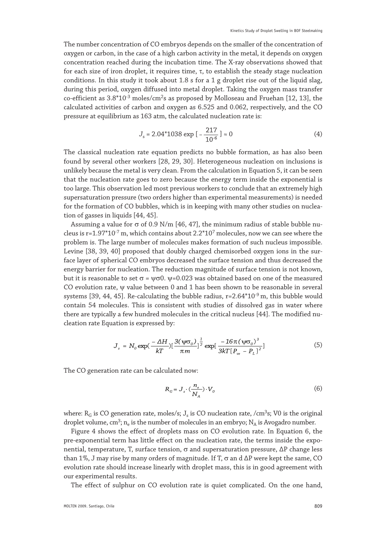The number concentration of CO embryos depends on the smaller of the concentration of oxygen or carbon, in the case of a high carbon activity in the metal, it depends on oxygen concentration reached during the incubation time. The X-ray observations showed that for each size of iron droplet, it requires time, τ, to establish the steady stage nucleation conditions. In this study it took about 1.8 s for a 1 g droplet rise out of the liquid slag, during this period, oxygen diffused into metal droplet. Taking the oxygen mass transfer co-efficient as  $3.8*10<sup>-3</sup>$  moles/cm<sup>2</sup>s as proposed by Molloseau and Fruehan [12, 13], the calculated activities of carbon and oxygen as 6.525 and 0.062, respectively, and the CO pressure at equilibrium as 163 atm, the calculated nucleation rate is:

$$
J_s = 2.04*1038 \exp\left[-\frac{217}{10^{-6}}\right] \approx 0\tag{4}
$$

The classical nucleation rate equation predicts no bubble formation, as has also been found by several other workers [28, 29, 30]. Heterogeneous nucleation on inclusions is unlikely because the metal is very clean. From the calculation in Equation 5, it can be seen that the nucleation rate goes to zero because the energy term inside the exponential is too large. This observation led most previous workers to conclude that an extremely high supersaturation pressure (two orders higher than experimental measurements) is needed for the formation of CO bubbles, which is in keeping with many other studies on nucleation of gasses in liquids [44, 45].

Assuming a value for  $\sigma$  of 0.9 N/m [46, 47], the minimum radius of stable bubble nucleus is  $r=1.97*10<sup>-7</sup>$  m, which contains about  $2.2*10<sup>7</sup>$  molecules, now we can see where the problem is. The large number of molecules makes formation of such nucleus impossible. Levine [38, 39, 40] proposed that doubly charged chemisorbed oxygen ions in the surface layer of spherical CO embryos decreased the surface tension and thus decreased the energy barrier for nucleation. The reduction magnitude of surface tension is not known, but it is reasonable to set σ =  $\psi$ σ0.  $\psi$ =0.023 was obtained based on one of the measured CO evolution rate, ψ value between 0 and 1 has been shown to be reasonable in several systems [39, 44, 45]. Re-calculating the bubble radius,  $r=2.64*10^{-9}$  m, this bubble would contain 54 molecules. This is consistent with studies of dissolved gas in water where there are typically a few hundred molecules in the critical nucleus [44]. The modified nucleation rate Equation is expressed by:

$$
J_s = N_0 \exp(\frac{-\Delta H}{kT}) \left[\frac{3(\psi \sigma_0)}{\pi m}\right]^{\frac{1}{2}} \exp[\frac{-16\pi(\psi \sigma_0)^3}{3kT[P_{ve} - P_L]^2}] \tag{5}
$$

The CO generation rate can be calculated now:

$$
R_G = J_s \cdot (\frac{n_e}{N_A}) \cdot V_0 \tag{6}
$$

where:  $R_G$  is CO generation rate, moles/s;  $J_s$  is CO nucleation rate, /cm<sup>3</sup>s; V0 is the original droplet volume, cm<sup>3</sup>; n<sub>e</sub> is the number of molecules in an embryo; N<sub>A</sub> is Avogadro number.

Figure 4 shows the effect of droplets mass on CO evolution rate. In Equation 6, the pre-exponential term has little effect on the nucleation rate, the terms inside the exponential, temperature, T, surface tension, σ and supersaturation pressure, ∆P change less than 1%, J may rise by many orders of magnitude. If T,  $\sigma$  an d  $\Delta P$  were kept the same, CO evolution rate should increase linearly with droplet mass, this is in good agreement with our experimental results.

The effect of sulphur on CO evolution rate is quiet complicated. On the one hand,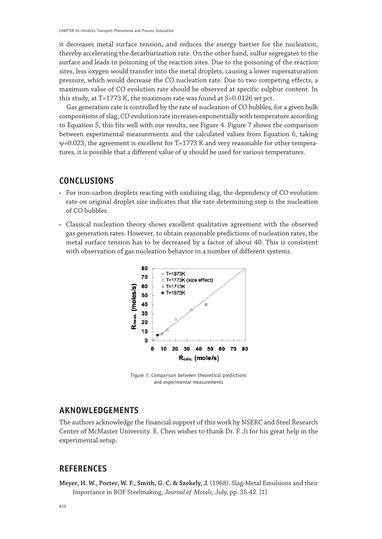it decreases metal surface tension, and reduces the energy barrier for the nucleation, thereby accelerating the decarburization rate. On the other hand, sulfur segregates to the surface and leads to poisoning of the reaction sites. Due to the poisoning of the reaction sites, less oxygen would transfer into the metal droplets, causing a lower supersaturation pressure, which would decrease the CO nucleation rate. Due to two competing effects, a maximum value of CO evolution rate should be observed at specific sulphur content. In this study, at T=1773 K, the maximum rate was found at S=0.0126 wt pct.

Gas generation rate is controlled by the rate of nucleation of CO bubbles, for a given bulk compositions of slag, CO evolution rate increases exponentially with temperature according to Equation 5, this fits well with our results, see Figure 4. Figure 7 shows the comparison between experimental measurements and the calculated values from Equation 6, taking ψ=0.023, the agreement is excellent for T=1773 K and very reasonable for other temperatures, it is possible that a different value of ψ should be used for various temperatures.

# **CONCLUSIONS**

- • For iron-carbon droplets reacting with oxidizing slag, the dependency of CO evolution rate on original droplet size indicates that the rate determining step is the nucleation of CO bubbles.
- • Classical nucleation theory shows excellent qualitative agreement with the observed gas generation rates. However, to obtain reasonable predictions of nucleation rates, the metal surface tension has to be decreased by a factor of about 40. This is consistent with observation of gas nucleation behavior in a number of different systems.



Figure 7: Comparison between theoretical predictions and experimental measurements

## **AKNOWLEDGEMENTS**

The authors acknowledge the financial support of this work by NSERC and Steel Research Center of McMaster University. E. Chen wishes to thank Dr. F. Ji for his great help in the experimental setup.

## **REFERENCES**

**Meyer, H. W., Porter, W. F., Smith, G. C. & Szekely, J.** (1968). Slag-Metal Emulsions and their Importance in BOF Steelmaking, *Journal of Metals*, July, pp. 35-42. [1]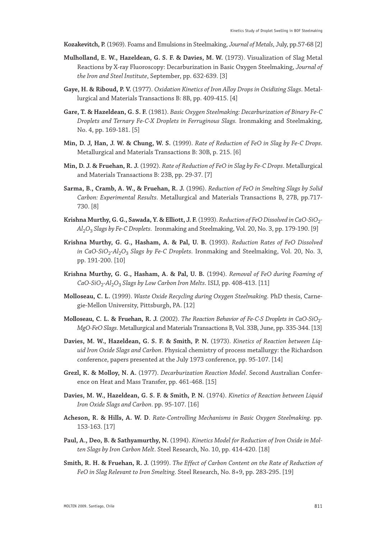- **Kozakevitch, P.** (1969). Foams and Emulsions in Steelmaking, *Journal of Metals*, July, pp.57-68 [2]
- **Mulholland, E. W., Hazeldean, G. S. F. & Davies, M. W.** (1973). Visualization of Slag Metal Reactions by X-ray Fluoroscopy: Decarburization in Basic Oxygen Steelmaking, *Journal of the Iron and Steel Institute*, September, pp. 632-639. [3]
- **Gaye, H. & Riboud, P. V.** (1977). *Oxidation Kinetics of Iron Alloy Drops in Oxidizing Slags*. Metallurgical and Materials Transactions B: 8B, pp. 409-415. [4]
- **Gare, T. & Hazeldean, G. S. F.** (1981). *Basic Oxygen Steelmaking: Decarburization of Binary Fe-C Droplets and Ternary Fe-C-X Droplets in Ferruginous Slags.* Ironmaking and Steelmaking, No. 4, pp. 169-181. [5]
- **Min, D. J, Han, J. W. & Chung, W. S.** (1999). *Rate of Reduction of FeO in Slag by Fe-C Drops*. Metallurgical and Materials Transactions B: 30B, p. 215. [6]
- **Min, D. J. & Fruehan, R. J.** (1992). *Rate of Reduction of FeO in Slag by Fe-C Drops*. Metallurgical and Materials Transactions B: 23B, pp. 29-37. [7]
- **Sarma, B., Cramb, A. W., & Fruehan, R. J.** (1996). *Reduction of FeO in Smelting Slags by Solid Carbon: Experimental Results*. Metallurgical and Materials Transactions B, 27B, pp.717- 730. [8]
- Krishna Murthy, G. G., Sawada, Y. & Elliott, J. F. (1993). *Reduction of FeO Dissolved in CaO-SiO*<sub>2</sub>-*Al*2*O*3 *Slags by Fe-C Droplets*. Ironmaking and Steelmaking, Vol. 20, No. 3, pp. 179-190. [9]
- **Krishna Murthy, G. G., Hasham, A. & Pal, U. B.** (1993). *Reduction Rates of FeO Dissolved in CaO-SiO*2*-Al*2*O*3 *Slags by Fe-C Droplets*. Ironmaking and Steelmaking, Vol. 20, No. 3, pp. 191-200. [10]
- **Krishna Murthy, G. G., Hasham, A. & Pal, U. B.** (1994). *Removal of FeO during Foaming of CaO-SiO*2*-Al*2*O*3 *Slags by Low Carbon Iron Melts*. ISIJ, pp. 408-413. [11]
- **Molloseau, C. L.** (1999). *Waste Oxide Recycling during Oxygen Steelmaking*. PhD thesis, Carnegie-Mellon University, Pittsburgh, PA. [12]
- **Molloseau, C. L. & Fruehan, R. J.** (2002). *The Reaction Behavior of Fe-C-S Droplets in CaO-SiO*<sub>2</sub>-*MgO-FeO Slags*. Metallurgical and Materials Transactions B, Vol. 33B, June, pp. 335-344. [13]
- **Davies, M. W., Hazeldean, G. S. F. & Smith, P. N.** (1973). *Kinetics of Reaction between Liquid Iron Oxide Slags and Carbon*. Physical chemistry of process metallurgy: the Richardson conference, papers presented at the July 1973 conference, pp. 95-107. [14]
- **Grezl, K. & Molloy, N. A.** (1977). *Decarburization Reaction Model*. Second Australian Conference on Heat and Mass Transfer, pp. 461-468. [15]
- **Davies, M. W., Hazeldean, G. S. F. & Smith, P. N.** (1974). *Kinetics of Reaction between Liquid Iron Oxide Slags and Carbon*. pp. 95-107. [16]
- **Acheson, R. & Hills, A. W. D**. *Rate-Controlling Mechanisms in Basic Oxygen Steelmaking*. pp. 153-163. [17]
- **Paul, A., Deo, B. & Sathyamurthy, N.** (1994). *Kinetics Model for Reduction of Iron Oxide in Molten Slags by Iron Carbon Melt*. Steel Research, No. 10, pp. 414-420. [18]
- **Smith, R. H. & Fruehan, R. J.** (1999). *The Effect of Carbon Content on the Rate of Reduction of FeO in Slag Relevant to Iron Smelting*. Steel Research, No. 8+9, pp. 283-295. [19]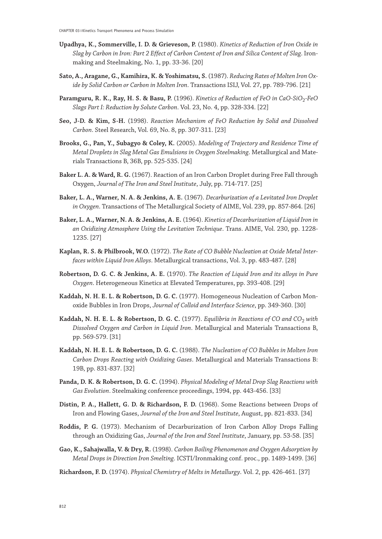- **Upadhya, K., Sommerville, I. D. & Grieveson, P.** (1980). *Kinetics of Reduction of Iron Oxide in Slag by Carbon in Iron: Part 2 Effect of Carbon Content of Iron and Silica Content of Slag*. Ironmaking and Steelmaking, No. 1, pp. 33-36. [20]
- **Sato, A., Aragane, G., Kamihira, K. & Yoshimatsu, S.** (1987). *Reducing Rates of Molten Iron Oxide by Solid Carbon or Carbon in Molten Iron*. Transactions ISIJ, Vol. 27, pp. 789-796. [21]
- **Paramguru, R. K., Ray, H. S. & Basu, P.** (1996). *Kinetics of Reduction of FeO in CaO-SiO<sub>2</sub>-FeO Slags Part I: Reduction by Solute Carbon*. Vol. 23, No. 4, pp. 328-334. [22]
- **Seo, J-D. & Kim, S-H.** (1998). *Reaction Mechanism of FeO Reduction by Solid and Dissolved Carbon*. Steel Research, Vol. 69, No. 8, pp. 307-311. [23]
- **Brooks, G., Pan, Y., Subagyo & Coley, K.** (2005). *Modeling of Trajectory and Residence Time of Metal Droplets in Slag Metal Gas Emulsions in Oxygen Steelmaking*. Metallurgical and Materials Transactions B, 36B, pp. 525-535. [24]
- **Baker L. A. & Ward, R. G.** (1967). Reaction of an Iron Carbon Droplet during Free Fall through Oxygen, *Journal of The Iron and Steel Institute*, July, pp. 714-717. [25]
- **Baker, L. A., Warner, N. A. & Jenkins, A. E.** (1967). *Decarburization of a Levitated Iron Droplet in Oxygen*. Transactions of The Metallurgical Society of AIME, Vol. 239, pp. 857-864. [26]
- **Baker, L. A., Warner, N. A. & Jenkins, A. E.** (1964). *Kinetics of Decarburization of Liquid Iron in an Oxidizing Atmosphere Using the Levitation Technique*. Trans. AIME, Vol. 230, pp. 1228- 1235. [27]
- **Kaplan, R. S. & Philbrook, W.O.** (1972). *The Rate of CO Bubble Nucleation at Oxide Metal Interfaces within Liquid Iron Alloys*. Metallurgical transactions, Vol. 3, pp. 483-487. [28]
- **Robertson, D. G. C. & Jenkins, A. E.** (1970). *The Reaction of Liquid Iron and its alloys in Pure Oxygen*. Heterogeneous Kinetics at Elevated Temperatures, pp. 393-408. [29]
- **Kaddah, N. H. E. L. & Robertson, D. G. C.** (1977). Homogeneous Nucleation of Carbon Monoxide Bubbles in Iron Drops, *Journal of Colloid and Interface Science*, pp. 349-360. [30]
- Kaddah, N. H. E. L. & Robertson, D. G. C. (1977). *Equilibria in Reactions of CO and CO<sub>2</sub> with Dissolved Oxygen and Carbon in Liquid Iron*. Metallurgical and Materials Transactions B, pp. 569-579. [31]
- **Kaddah, N. H. E. L. & Robertson, D. G. C.** (1988). *The Nucleation of CO Bubbles in Molten Iron Carbon Drops Reacting with Oxidizing Gases*. Metallurgical and Materials Transactions B: 19B, pp. 831-837. [32]
- **Panda, D. K. & Robertson, D. G. C.** (1994). *Physical Modeling of Metal Drop Slag Reactions with Gas Evolution*. Steelmaking conference proceedings, 1994, pp. 443-456. [33]
- **Distin, P. A., Hallett, G. D. & Richardson, F. D.** (1968). Some Reactions between Drops of Iron and Flowing Gases, *Journal of the Iron and Steel Institute*, August, pp. 821-833. [34]
- **Roddis, P. G.** (1973). Mechanism of Decarburization of Iron Carbon Alloy Drops Falling through an Oxidizing Gas, *Journal of the Iron and Steel Institute*, January, pp. 53-58. [35]
- **Gao, K., Sahajwalla, V. & Dry, R.** (1998). *Carbon Boiling Phenomenon and Oxygen Adsorption by Metal Drops in Direction Iron Smelting*. ICSTI/Ironmaking conf. proc., pp. 1489-1499. [36]
- **Richardson, F. D.** (1974). *Physical Chemistry of Melts in Metallurgy*. Vol. 2, pp. 426-461. [37]